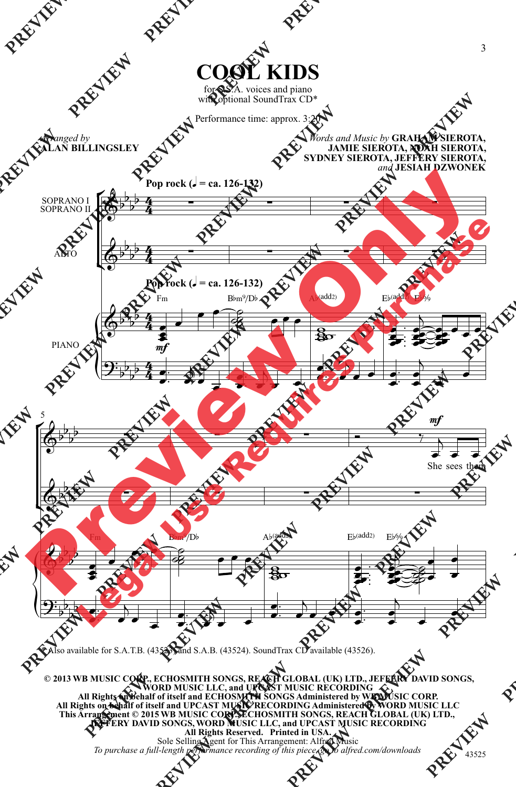## **COOL KIDS**

for S.S.A. voices and piano with optional SoundTrax CD\*

Performance time: approx. 3:20



*Words and Music by* **GRAHAM SIEROTA, JAMIE SIEROTA, NOAH SIEROTA, SYDNEY SIEROTA, JEFFERY SIEROTA,** *and* **JESIAH DZWONEK**



\* Also available for S.A.T.B. (43523) and S.A.B. (43524). SoundTrax CD available (43526).

 **© 2013 WB MUSIC CORP., ECHOSMITH SONGS, REACH GLOBAL (UK) LTD., JEFFERY DAVID SONGS, WORD MUSIC LLC, and UPCAST MUSIC RECORDING All Rights on behalf of itself and ECHOSMITH SONGS Administered by WB MUSIC CORP. All Rights on behalf of itself and UPCAST MUSIC RECORDING Administered by WORD MUSIC LLC This Arrangement © 2015 WB MUSIC CORP., ECHOSMITH SONGS, REACH GLOBAL (UK) LTD., JEFFERY DAVID SONGS, WORD MUSIC LLC, and UPCAST MUSIC RECORDING All Rights Reserved. Printed in USA.** Sole Selling Agent for This Arrangement: Alfred Music *To purchase a full-length performance recording of this piece, go to alfred.com/downloads*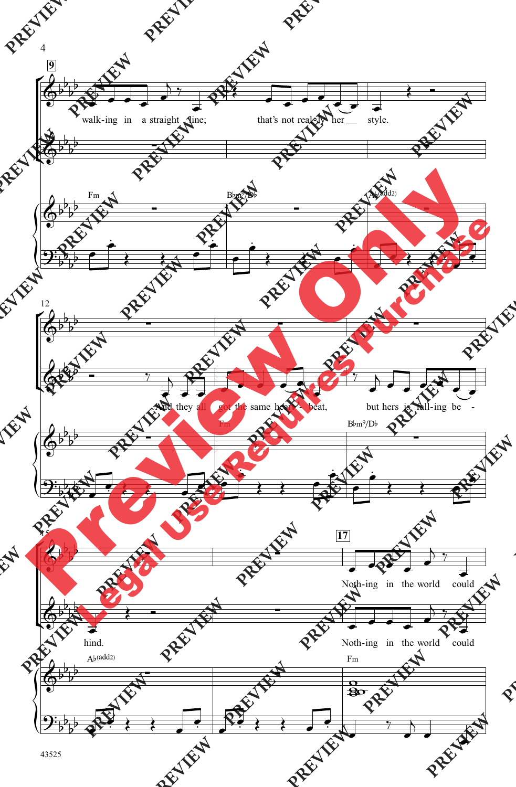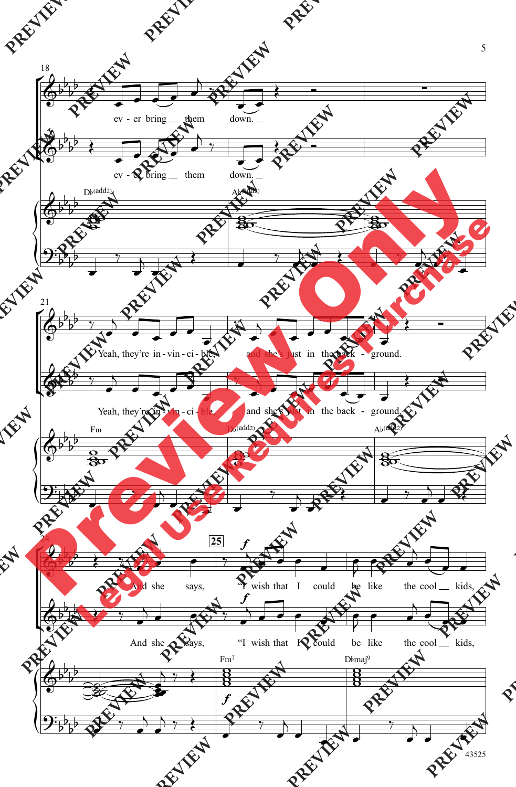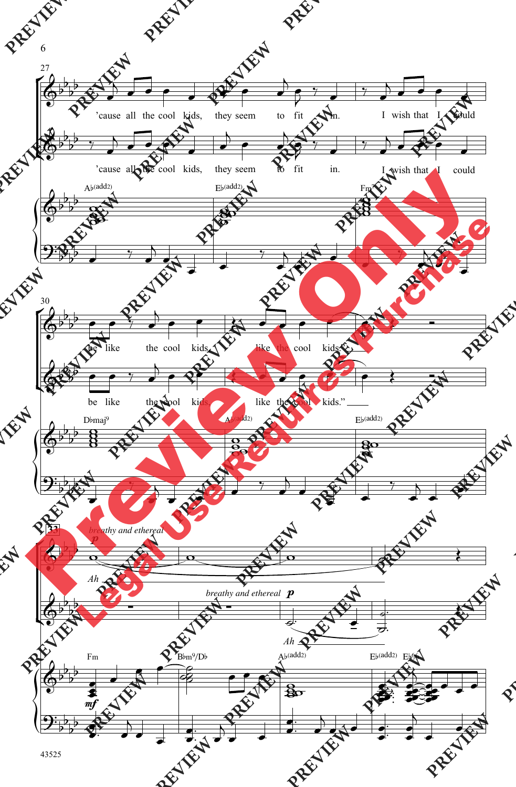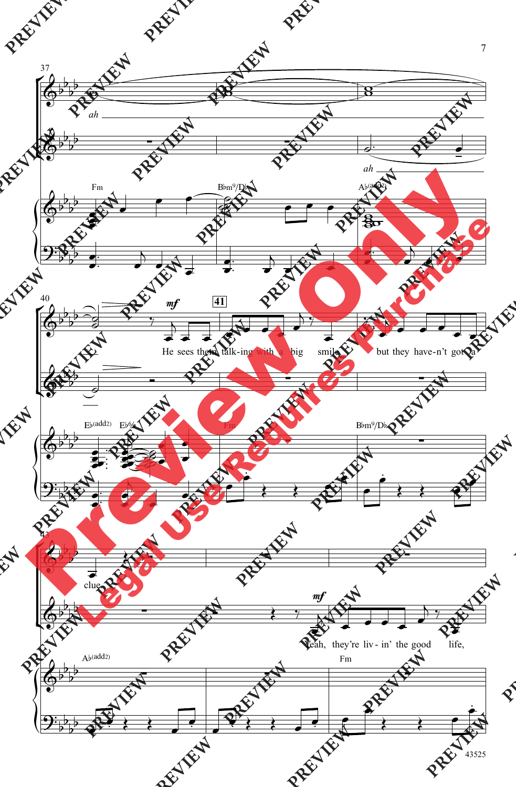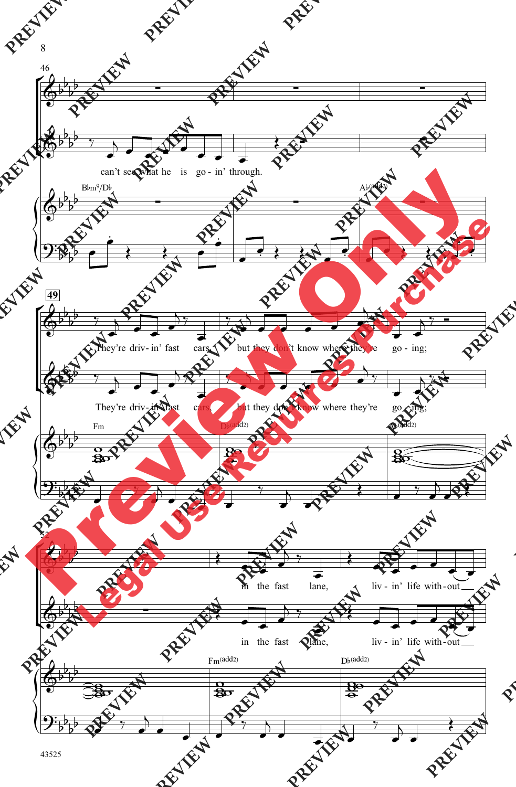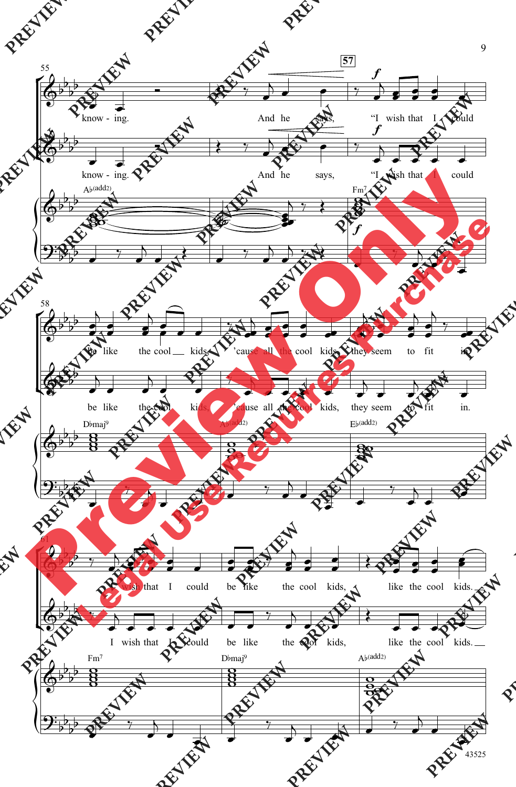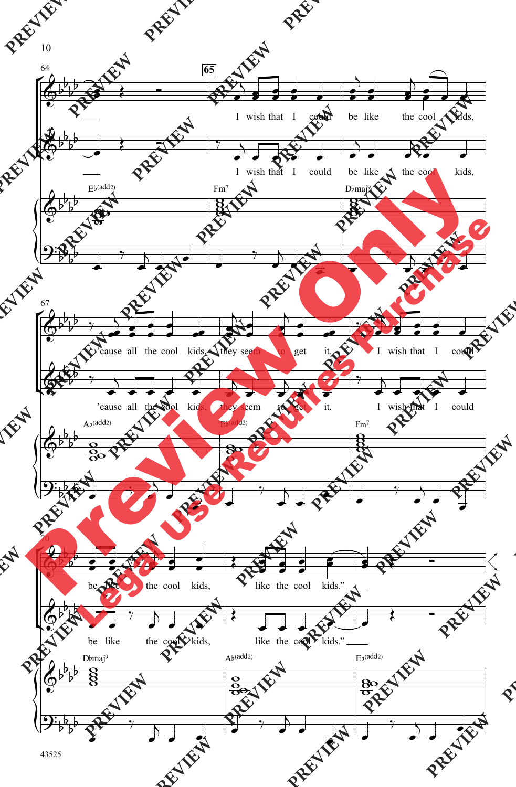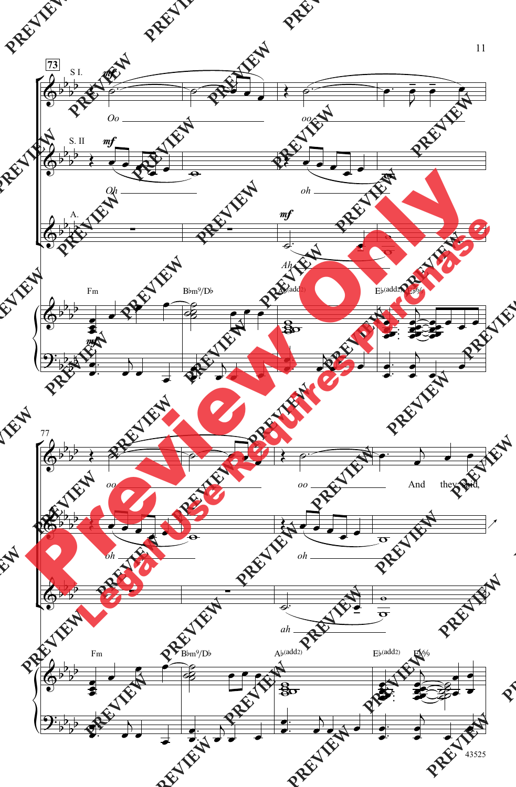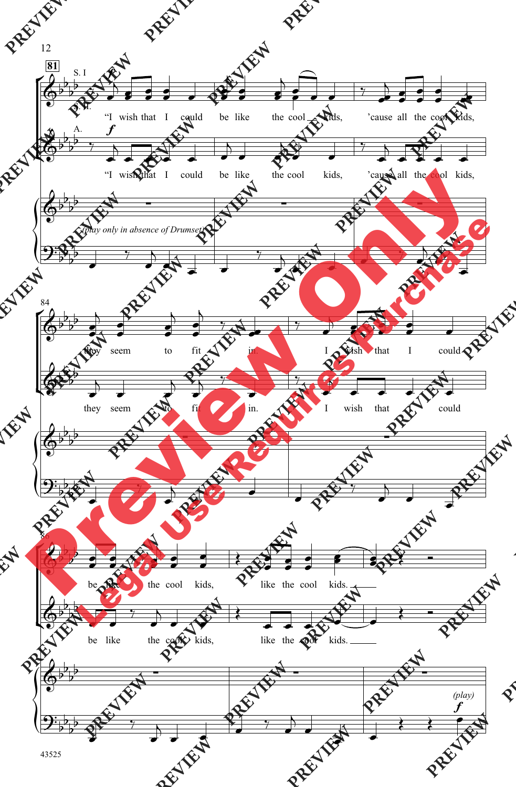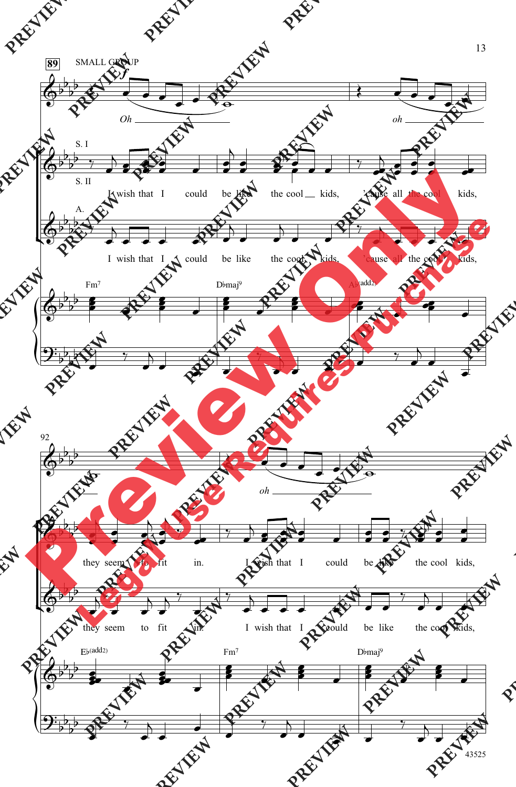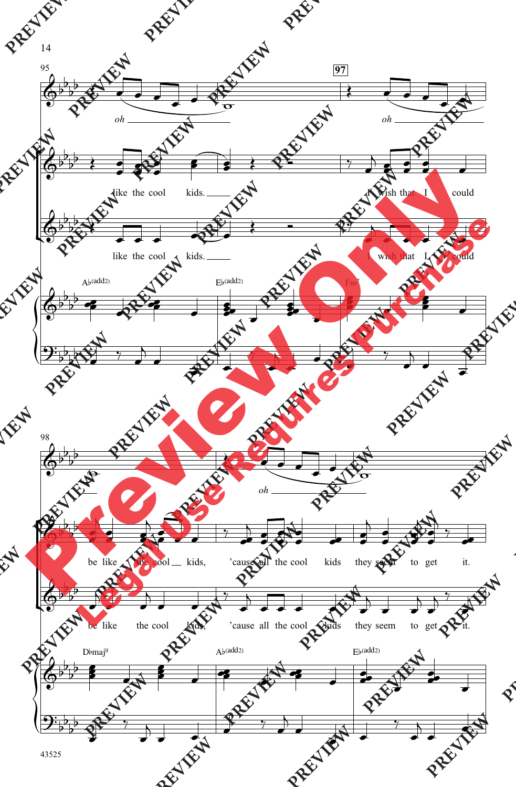